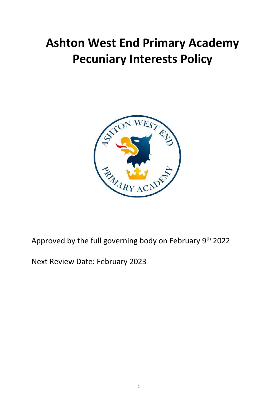# **Ashton West End Primary Academy Pecuniary Interests Policy**



# Approved by the full governing body on February 9<sup>th</sup> 2022

Next Review Date: February 2023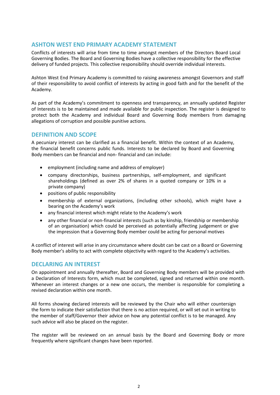#### **ASHTON WEST END PRIMARY ACADEMY STATEMENT**

Conflicts of interests will arise from time to time amongst members of the Directors Board Local Governing Bodies. The Board and Governing Bodies have a collective responsibility for the effective delivery of funded projects. This collective responsibility should override individual interests.

Ashton West End Primary Academy is committed to raising awareness amongst Governors and staff of their responsibility to avoid conflict of interests by acting in good faith and for the benefit of the Academy.

As part of the Academy's commitment to openness and transparency, an annually updated Register of Interests is to be maintained and made available for public inspection. The register is designed to protect both the Academy and individual Board and Governing Body members from damaging allegations of corruption and possible punitive actions.

### **DEFINITION AND SCOPE**

A pecuniary interest can be clarified as a financial benefit. Within the context of an Academy, the financial benefit concerns public funds. Interests to be declared by Board and Governing Body members can be financial and non- financial and can include:

- employment (including name and address of employer)
- company directorships, business partnerships, self-employment, and significant shareholdings (defined as over 2% of shares in a quoted company or 10% in a private company)
- positions of public responsibility
- membership of external organizations, (including other schools), which might have a bearing on the Academy's work
- any financial interest which might relate to the Academy's work
- any other financial or non-financial interests (such as by kinship, friendship or membership of an organisation) which could be perceived as potentially affecting judgement or give the impression that a Governing Body member could be acting for personal motives

A conflict of interest will arise in any circumstance where doubt can be cast on a Board or Governing Body member's ability to act with complete objectivity with regard to the Academy's activities.

# **DECLARING AN INTEREST**

On appointment and annually thereafter, Board and Governing Body members will be provided with a Declaration of Interests form, which must be completed, signed and returned within one month. Whenever an interest changes or a new one occurs, the member is responsible for completing a revised declaration within one month.

All forms showing declared interests will be reviewed by the Chair who will either countersign the form to indicate their satisfaction that there is no action required, or will set out in writing to the member of staff/Governor their advice on how any potential conflict is to be managed. Any such advice will also be placed on the register.

The register will be reviewed on an annual basis by the Board and Governing Body or more frequently where significant changes have been reported.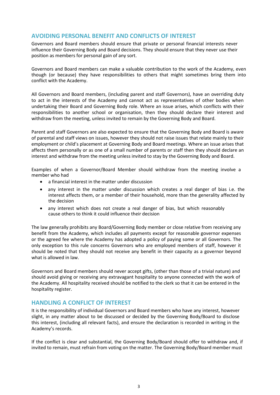## **AVOIDING PERSONAL BENEFIT AND CONFLICTS OF INTEREST**

Governors and Board members should ensure that private or personal financial interests never influence their Governing Body and Board decisions. They should ensure that they never use their position as members for personal gain of any sort.

Governors and Board members can make a valuable contribution to the work of the Academy, even though (or because) they have responsibilities to others that might sometimes bring them into conflict with the Academy.

All Governors and Board members, (including parent and staff Governors), have an overriding duty to act in the interests of the Academy and cannot act as representatives of other bodies when undertaking their Board and Governing Body role. Where an issue arises, which conflicts with their responsibilities to another school or organisation, then they should declare their interest and withdraw from the meeting, unless invited to remain by the Governing Body and Board.

Parent and staff Governors are also expected to ensure that the Governing Body and Board is aware of parental and staff views on issues, however they should not raise issues that relate mainly to their employment or child's placement at Governing Body and Board meetings. Where an issue arises that affects them personally or as one of a small number of parents or staff then they should declare an interest and withdraw from the meeting unless invited to stay by the Governing Body and Board.

Examples of when a Governor/Board Member should withdraw from the meeting involve a member who had

- a financial interest in the matter under discussion
- any interest in the matter under discussion which creates a real danger of bias i.e. the interest affects them, or a member of their household, more than the generality affected by the decision
- any interest which does not create a real danger of bias, but which reasonably cause others to think it could influence their decision

The law generally prohibits any Board/Governing Body member or close relative from receiving any benefit from the Academy, which includes all payments except for reasonable governor expenses or the agreed fee where the Academy has adopted a policy of paying some or all Governors. The only exception to this rule concerns Governors who are employed members of staff, however it should be noted that they should not receive any benefit in their capacity as a governor beyond what is allowed in law.

Governors and Board members should never accept gifts, (other than those of a trivial nature) and should avoid giving or receiving any extravagant hospitality to anyone connected with the work of the Academy. All hospitality received should be notified to the clerk so that it can be entered in the hospitality register.

#### **HANDLING A CONFLICT OF INTEREST**

It is the responsibility of individual Governors and Board members who have any interest, however slight, in any matter about to be discussed or decided by the Governing Body/Board to disclose this interest, (including all relevant facts), and ensure the declaration is recorded in writing in the Academy's records.

If the conflict is clear and substantial, the Governing Body/Board should offer to withdraw and, if invited to remain, must refrain from voting on the matter. The Governing Body/Board member must